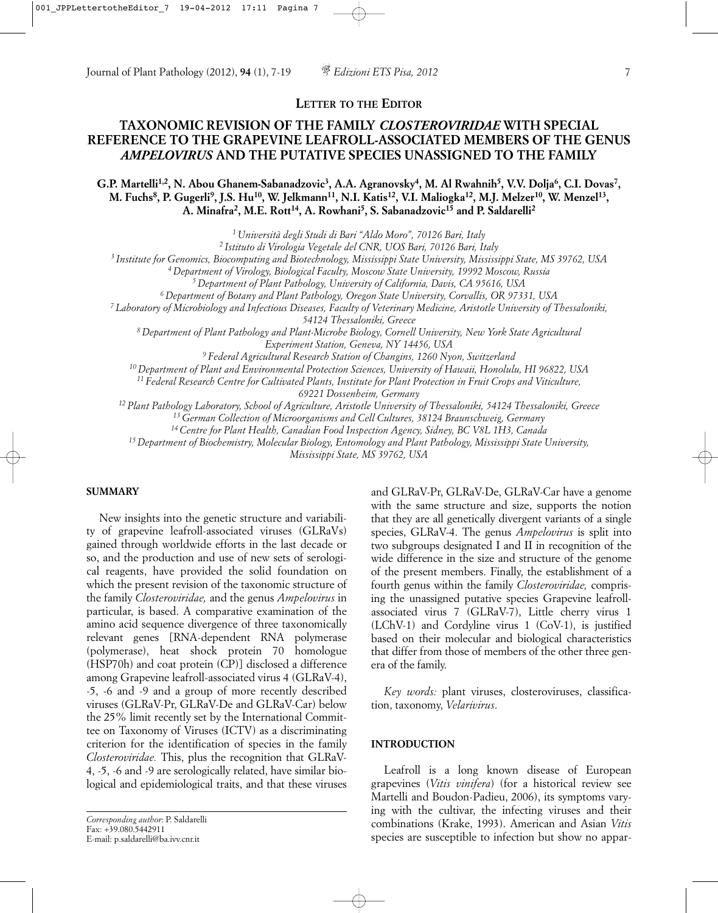**LETTER TO THE EDITOR**

# **TAXONOMIC REVISION OF THE FAMILY** *CLOSTEROVIRIDAE* **WITH SPECIAL REFERENCE TO THE GRAPEVINE LEAFROLL-ASSOCIATED MEMBERS OF THE GENUS** *AMPELOVIRUS* **AND THE PUTATIVE SPECIES UNASSIGNED TO THE FAMILY**

G.P. Martelli<sup>1,2</sup>, N. Abou Ghanem-Sabanadzovic<sup>3</sup>, A.A. Agranovsky<sup>4</sup>, M. Al Rwahnih<sup>5</sup>, V.V. Dolja<sup>6</sup>, C.I. Dovas<sup>7</sup>, **M. Fuchs8, P. Gugerli9, J.S. Hu10, W. Jelkmann11, N.I. Katis12, V.I. Maliogka12, M.J. Melzer10, W. Menzel13, A. Minafra2, M.E. Rott14, A. Rowhani5, S. Sabanadzovic15 and P. Saldarelli2**

*1 Università degli Studi di Bari "Aldo Moro", 70126 Bari, Italy*

*2 Istituto di Virologia Vegetale del CNR, UOS Bari, 70126 Bari, Italy*

*3 Institute for Genomics, Biocomputing and Biotechnology, Mississippi State University, Mississippi State, MS 39762, USA*

*4 Department of Virology, Biological Faculty, Moscow State University, 19992 Moscow, Russia*

*5 Department of Plant Pathology, University of California, Davis, CA 95616, USA*

*6 Department of Botany and Plant Pathology, Oregon State University, Corvallis, OR 97331, USA*

*7 Laboratory of Microbiology and Infectious Diseases, Faculty of Veterinary Medicine, Aristotle University of Thessaloniki,* 

*54124 Thessaloniki, Greece*

*8 Department of Plant Pathology and Plant-Microbe Biology, Cornell University, New York State Agricultural Experiment Station, Geneva, NY 14456, USA*

*9 Federal Agricultural Research Station of Changins, 1260 Nyon, Switzerland*

*10 Department of Plant and Environmental Protection Sciences, University of Hawaii, Honolulu, HI 96822, USA*

*11 Federal Research Centre for Cultivated Plants, Institute for Plant Protection in Fruit Crops and Viticulture,* 

*69221 Dossenheim, Germany*

*12 Plant Pathology Laboratory, School of Agriculture, Aristotle University of Thessaloniki, 54124 Thessaloniki, Greece*

*13 German Collection of Microorganisms and Cell Cultures, 38124 Braunschweig, Germany*

*14 Centre for Plant Health, Canadian Food Inspection Agency, Sidney, BC V8L 1H3, Canada*

*15 Department of Biochemistry, Molecular Biology, Entomology and Plant Pathology, Mississippi State University,* 

*Mississippi State, MS 39762, USA*

#### **SUMMARY**

New insights into the genetic structure and variability of grapevine leafroll-associated viruses (GLRaVs) gained through worldwide efforts in the last decade or so, and the production and use of new sets of serological reagents, have provided the solid foundation on which the present revision of the taxonomic structure of the family *Closteroviridae,* and the genus *Ampelovirus* in particular, is based. A comparative examination of the amino acid sequence divergence of three taxonomically relevant genes [RNA-dependent RNA polymerase (polymerase), heat shock protein 70 homologue (HSP70h) and coat protein (CP)] disclosed a difference among Grapevine leafroll-associated virus 4 (GLRaV-4), -5, -6 and -9 and a group of more recently described viruses (GLRaV-Pr, GLRaV-De and GLRaV-Car) below the 25% limit recently set by the International Committee on Taxonomy of Viruses (ICTV) as a discriminating criterion for the identification of species in the family *Closteroviridae.* This, plus the recognition that GLRaV-4, -5, -6 and -9 are serologically related, have similar biological and epidemiological traits, and that these viruses

and GLRaV-Pr, GLRaV-De, GLRaV-Car have a genome with the same structure and size, supports the notion that they are all genetically divergent variants of a single species, GLRaV-4. The genus *Ampelovirus* is split into two subgroups designated I and II in recognition of the wide difference in the size and structure of the genome of the present members. Finally, the establishment of a fourth genus within the family *Closteroviridae,* comprising the unassigned putative species Grapevine leafrollassociated virus 7 (GLRaV-7), Little cherry virus 1 (LChV-1) and Cordyline virus 1 (CoV-1), is justified based on their molecular and biological characteristics that differ from those of members of the other three genera of the family.

*Key words:* plant viruses, closteroviruses, classification, taxonomy, *Velarivirus*.

### **INTRODUCTION**

Leafroll is a long known disease of European grapevines (*Vitis vinifera*) (for a historical review see Martelli and Boudon-Padieu, 2006), its symptoms varying with the cultivar, the infecting viruses and their combinations (Krake, 1993). American and Asian *Vitis* species are susceptible to infection but show no appar-

*Corresponding author*: P. Saldarelli Fax: +39.080.5442911 E-mail: p.saldarelli@ba.ivv.cnr.it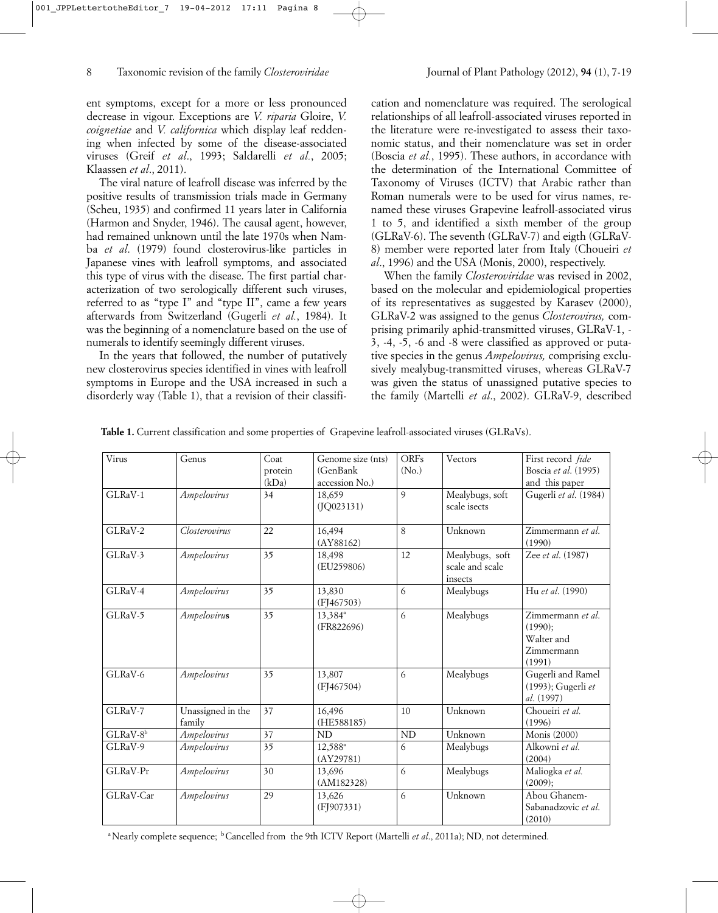ent symptoms, except for a more or less pronounced decrease in vigour. Exceptions are *V. riparia* Gloire, *V. coignetiae* and *V. californica* which display leaf reddening when infected by some of the disease-associated viruses (Greif *et al*., 1993; Saldarelli *et al.*, 2005; Klaassen *et al*., 2011).

The viral nature of leafroll disease was inferred by the positive results of transmission trials made in Germany (Scheu, 1935) and confirmed 11 years later in California (Harmon and Snyder, 1946). The causal agent, however, had remained unknown until the late 1970s when Namba *et al*. (1979) found closterovirus-like particles in Japanese vines with leafroll symptoms, and associated this type of virus with the disease. The first partial characterization of two serologically different such viruses, referred to as "type I" and "type II", came a few years afterwards from Switzerland (Gugerli *et al.*, 1984). It was the beginning of a nomenclature based on the use of numerals to identify seemingly different viruses.

In the years that followed, the number of putatively new closterovirus species identified in vines with leafroll symptoms in Europe and the USA increased in such a disorderly way (Table 1), that a revision of their classifi-

cation and nomenclature was required. The serological relationships of all leafroll-associated viruses reported in the literature were re-investigated to assess their taxonomic status, and their nomenclature was set in order (Boscia *et al.*, 1995). These authors, in accordance with the determination of the International Committee of Taxonomy of Viruses (ICTV) that Arabic rather than Roman numerals were to be used for virus names, renamed these viruses Grapevine leafroll-associated virus 1 to 5, and identified a sixth member of the group (GLRaV-6). The seventh (GLRaV-7) and eigth (GLRaV-8) member were reported later from Italy (Choueiri *et al*., 1996) and the USA (Monis, 2000), respectively.

When the family *Closteroviridae* was revised in 2002, based on the molecular and epidemiological properties of its representatives as suggested by Karasev (2000), GLRaV-2 was assigned to the genus *Closterovirus,* comprising primarily aphid-transmitted viruses, GLRaV-1, - 3, -4, -5, -6 and -8 were classified as approved or putative species in the genus *Ampelovirus,* comprising exclusively mealybug-transmitted viruses, whereas GLRaV-7 was given the status of unassigned putative species to the family (Martelli *et al*., 2002). GLRaV-9, described

| Table 1. Current classification and some properties of Grapevine leafroll-associated viruses (GLRaVs). |  |  |  |
|--------------------------------------------------------------------------------------------------------|--|--|--|
|--------------------------------------------------------------------------------------------------------|--|--|--|

| Virus                | Genus                       | Coat<br>protein<br>(kDa) | Genome size (nts)<br>(GenBank<br>accession No.) | <b>ORFs</b><br>(No.) | Vectors                                       | First record fide<br>Boscia et al. (1995)<br>and this paper        |
|----------------------|-----------------------------|--------------------------|-------------------------------------------------|----------------------|-----------------------------------------------|--------------------------------------------------------------------|
| GLRaV-1              | Ampelovirus                 | 34                       | 18,659<br>(JQ023131)                            | 9                    | Mealybugs, soft<br>scale isects               | Gugerli et al. (1984)                                              |
| GLRaV-2              | Closterovirus               | 22                       | 16,494<br>(AY88162)                             | 8                    | Unknown                                       | Zimmermann et al.<br>(1990)                                        |
| GLRaV-3              | Ampelovirus                 | 35                       | 18,498<br>(EU259806)                            | 12                   | Mealybugs, soft<br>scale and scale<br>insects | Zee et al. (1987)                                                  |
| GLRaV-4              | Ampelovirus                 | 35                       | 13,830<br>(FI467503)                            | 6                    | Mealybugs                                     | Hu et al. (1990)                                                   |
| $GLRaV-5$            | Ampelovirus                 | 35                       | 13,384 <sup>a</sup><br>(FR822696)               | 6                    | Mealybugs                                     | Zimmermann et al.<br>(1990):<br>Walter and<br>Zimmermann<br>(1991) |
| GLRaV-6              | Ampelovirus                 | 35                       | 13,807<br>(FJ467504)                            | 6                    | Mealybugs                                     | Gugerli and Ramel<br>(1993); Gugerli et<br>al. (1997)              |
| GLRaV-7              | Unassigned in the<br>family | 37                       | 16,496<br>(HE588185)                            | 10                   | Unknown                                       | Choueiri et al.<br>(1996)                                          |
| GLRaV-8 <sup>b</sup> | <i>Ampelovirus</i>          | 37                       | ND                                              | <b>ND</b>            | Unknown                                       | Monis (2000)                                                       |
| GLRaV-9              | Ampelovirus                 | 35                       | 12,588 <sup>a</sup><br>(AY29781)                | 6                    | Mealybugs                                     | Alkowni et al.<br>(2004)                                           |
| GLRaV-Pr             | Ampelovirus                 | 30                       | 13,696<br>(AM182328)                            | 6                    | Mealybugs                                     | Maliogka et al.<br>(2009);                                         |
| GLRaV-Car            | Ampelovirus                 | 29                       | 13,626<br>(FJ907331)                            | 6                    | Unknown                                       | Abou Ghanem-<br>Sabanadzovic et al.<br>(2010)                      |

<sup>a</sup> Nearly complete sequence; <sup>b</sup> Cancelled from the 9th ICTV Report (Martelli *et al.*, 2011a); ND, not determined.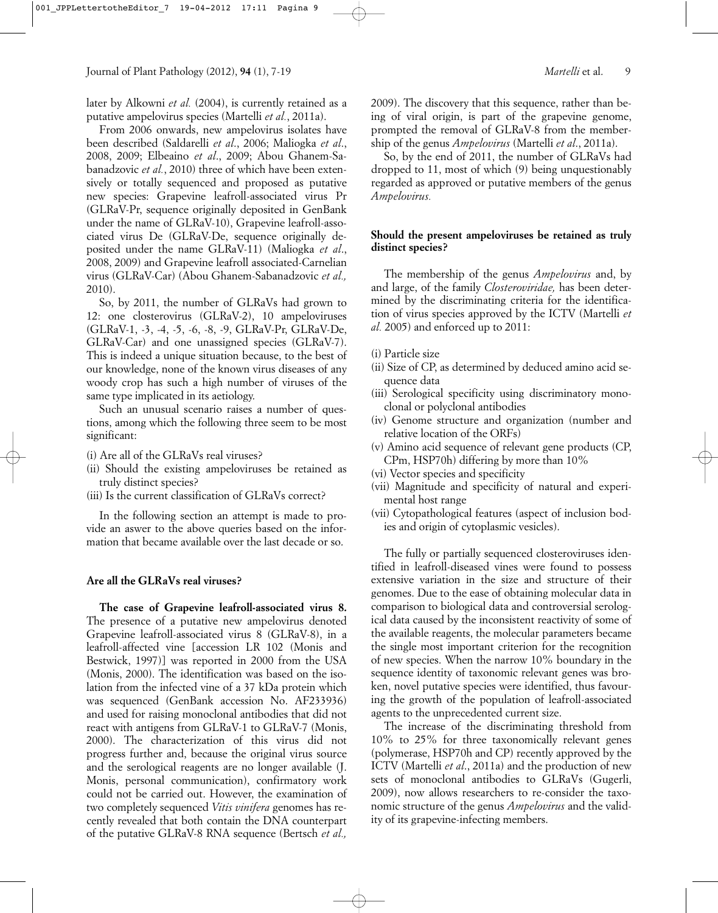later by Alkowni *et al.* (2004), is currently retained as a putative ampelovirus species (Martelli *et al.*, 2011a).

From 2006 onwards, new ampelovirus isolates have been described (Saldarelli *et al*., 2006; Maliogka *et al*., 2008, 2009; Elbeaino *et al*., 2009; Abou Ghanem-Sabanadzovic *et al.*, 2010) three of which have been extensively or totally sequenced and proposed as putative new species: Grapevine leafroll-associated virus Pr (GLRaV-Pr, sequence originally deposited in GenBank under the name of GLRaV-10), Grapevine leafroll-associated virus De (GLRaV-De, sequence originally deposited under the name GLRaV-11) (Maliogka *et al*., 2008, 2009) and Grapevine leafroll associated-Carnelian virus (GLRaV-Car) (Abou Ghanem-Sabanadzovic *et al.,* 2010).

So, by 2011, the number of GLRaVs had grown to 12: one closterovirus (GLRaV-2), 10 ampeloviruses (GLRaV-1, -3, -4, -5, -6, -8, -9, GLRaV-Pr, GLRaV-De, GLRaV-Car) and one unassigned species (GLRaV-7). This is indeed a unique situation because, to the best of our knowledge, none of the known virus diseases of any woody crop has such a high number of viruses of the same type implicated in its aetiology.

Such an unusual scenario raises a number of questions, among which the following three seem to be most significant:

- (i) Are all of the GLRaVs real viruses?
- (ii) Should the existing ampeloviruses be retained as truly distinct species?
- (iii) Is the current classification of GLRaVs correct?

In the following section an attempt is made to provide an aswer to the above queries based on the information that became available over the last decade or so.

### **Are all the GLRaVs real viruses?**

**The case of Grapevine leafroll-associated virus 8.** The presence of a putative new ampelovirus denoted Grapevine leafroll-associated virus 8 (GLRaV-8), in a leafroll-affected vine [accession LR 102 (Monis and Bestwick, 1997)] was reported in 2000 from the USA (Monis, 2000). The identification was based on the isolation from the infected vine of a 37 kDa protein which was sequenced (GenBank accession No. AF233936) and used for raising monoclonal antibodies that did not react with antigens from GLRaV-1 to GLRaV-7 (Monis, 2000). The characterization of this virus did not progress further and, because the original virus source and the serological reagents are no longer available (J. Monis, personal communication), confirmatory work could not be carried out. However, the examination of two completely sequenced *Vitis vinifera* genomes has recently revealed that both contain the DNA counterpart of the putative GLRaV-8 RNA sequence (Bertsch *et al.,*

2009). The discovery that this sequence, rather than being of viral origin, is part of the grapevine genome, prompted the removal of GLRaV-8 from the membership of the genus *Ampelovirus* (Martelli *et al*., 2011a).

So, by the end of 2011, the number of GLRaVs had dropped to 11, most of which (9) being unquestionably regarded as approved or putative members of the genus *Ampelovirus.*

#### **Should the present ampeloviruses be retained as truly distinct species?**

The membership of the genus *Ampelovirus* and, by and large, of the family *Closteroviridae,* has been determined by the discriminating criteria for the identification of virus species approved by the ICTV (Martelli *et al.* 2005) and enforced up to 2011:

- (i) Particle size
- (ii) Size of CP, as determined by deduced amino acid sequence data
- (iii) Serological specificity using discriminatory monoclonal or polyclonal antibodies
- (iv) Genome structure and organization (number and relative location of the ORFs)
- (v) Amino acid sequence of relevant gene products (CP, CPm, HSP70h) differing by more than 10%
- (vi) Vector species and specificity
- (vii) Magnitude and specificity of natural and experimental host range
- (vii) Cytopathological features (aspect of inclusion bodies and origin of cytoplasmic vesicles).

The fully or partially sequenced closteroviruses identified in leafroll-diseased vines were found to possess extensive variation in the size and structure of their genomes. Due to the ease of obtaining molecular data in comparison to biological data and controversial serological data caused by the inconsistent reactivity of some of the available reagents, the molecular parameters became the single most important criterion for the recognition of new species. When the narrow 10% boundary in the sequence identity of taxonomic relevant genes was broken, novel putative species were identified, thus favouring the growth of the population of leafroll-associated agents to the unprecedented current size.

The increase of the discriminating threshold from 10% to 25% for three taxonomically relevant genes (polymerase, HSP70h and CP) recently approved by the ICTV (Martelli *et al*., 2011a) and the production of new sets of monoclonal antibodies to GLRaVs (Gugerli, 2009), now allows researchers to re-consider the taxonomic structure of the genus *Ampelovirus* and the validity of its grapevine-infecting members.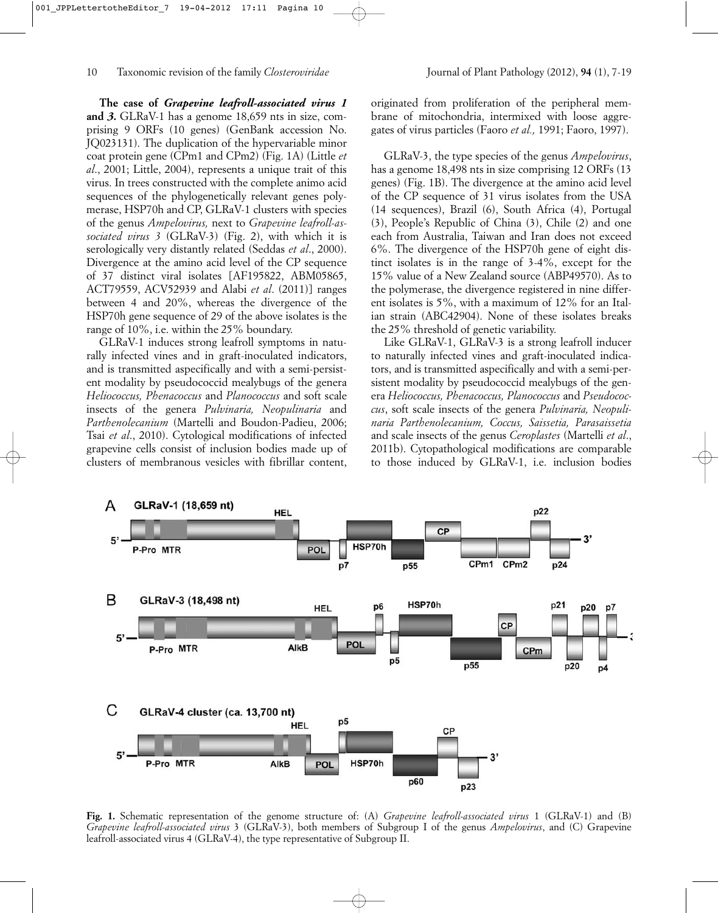**The case of** *Grapevine leafroll-associated virus 1* **and** *3***.** GLRaV-1 has a genome 18,659 nts in size, comprising 9 ORFs (10 genes) (GenBank accession No. JQ023131). The duplication of the hypervariable minor coat protein gene (CPm1 and CPm2) (Fig. 1A) (Little *et al*., 2001; Little, 2004), represents a unique trait of this virus. In trees constructed with the complete animo acid sequences of the phylogenetically relevant genes polymerase, HSP70h and CP, GLRaV-1 clusters with species of the genus *Ampelovirus,* next to *Grapevine leafroll-associated virus 3* (GLRaV-3) (Fig. 2), with which it is serologically very distantly related (Seddas *et al*., 2000). Divergence at the amino acid level of the CP sequence of 37 distinct viral isolates [AF195822, ABM05865, ACT79559, ACV52939 and Alabi *et al*. (2011)] ranges between 4 and 20%, whereas the divergence of the HSP70h gene sequence of 29 of the above isolates is the range of 10%, i.e. within the 25% boundary.

GLRaV-1 induces strong leafroll symptoms in naturally infected vines and in graft-inoculated indicators, and is transmitted aspecifically and with a semi-persistent modality by pseudococcid mealybugs of the genera *Heliococcus, Phenacoccus* and *Planococcus* and soft scale insects of the genera *Pulvinaria, Neopulinaria* and *Parthenolecanium* (Martelli and Boudon-Padieu, 2006; Tsai *et al*., 2010). Cytological modifications of infected grapevine cells consist of inclusion bodies made up of clusters of membranous vesicles with fibrillar content,

originated from proliferation of the peripheral membrane of mitochondria, intermixed with loose aggregates of virus particles (Faoro *et al.,* 1991; Faoro, 1997).

GLRaV-3, the type species of the genus *Ampelovirus*, has a genome 18,498 nts in size comprising 12 ORFs (13) genes) (Fig. 1B). The divergence at the amino acid level of the CP sequence of 31 virus isolates from the USA (14 sequences), Brazil (6), South Africa (4), Portugal (3), People's Republic of China (3), Chile (2) and one each from Australia, Taiwan and Iran does not exceed 6%. The divergence of the HSP70h gene of eight distinct isolates is in the range of 3-4%, except for the 15% value of a New Zealand source (ABP49570). As to the polymerase, the divergence registered in nine different isolates is 5%, with a maximum of 12% for an Italian strain (ABC42904). None of these isolates breaks the 25% threshold of genetic variability.

Like GLRaV-1, GLRaV-3 is a strong leafroll inducer to naturally infected vines and graft-inoculated indicators, and is transmitted aspecifically and with a semi-persistent modality by pseudococcid mealybugs of the genera *Heliococcus, Phenacoccus, Planococcus* and *Pseudococcus*, soft scale insects of the genera *Pulvinaria, Neopulinaria Parthenolecanium, Coccus, Saissetia, Parasaissetia* and scale insects of the genus *Ceroplastes* (Martelli *et al*., 2011b). Cytopathological modifications are comparable to those induced by GLRaV-1, i.e. inclusion bodies



**Fig. 1.** Schematic representation of the genome structure of: (A) *Grapevine leafroll-associated virus* 1 (GLRaV-1) and (B) *Grapevine leafroll-associated virus* 3 (GLRaV-3), both members of Subgroup I of the genus *Ampelovirus*, and (C) Grapevine leafroll-associated virus 4 (GLRaV-4), the type representative of Subgroup II.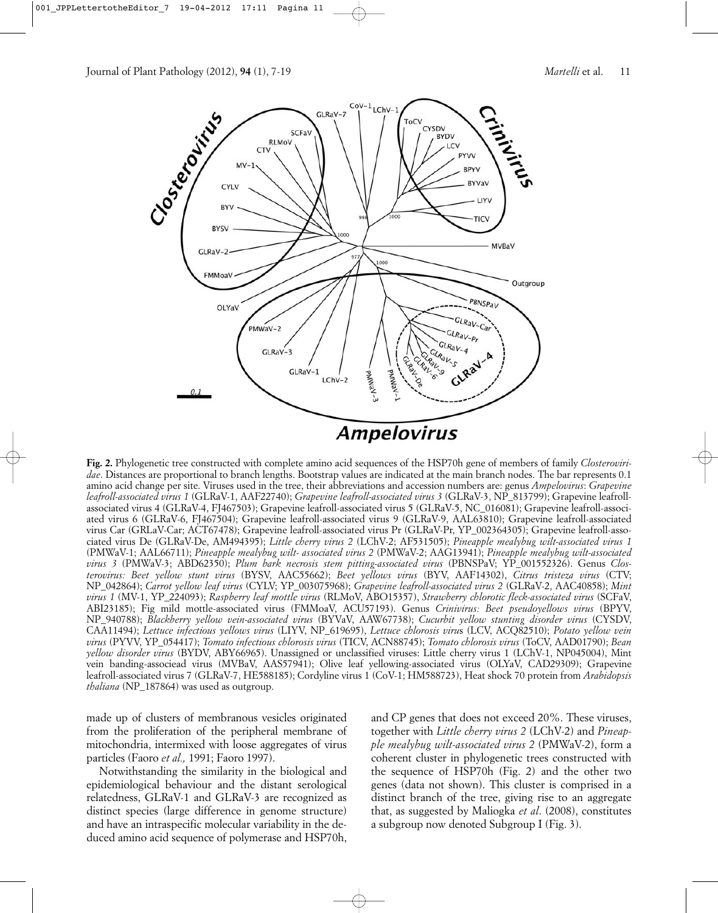

**Fig. 2.** Phylogenetic tree constructed with complete amino acid sequences of the HSP70h gene of members of family *Closteroviridae*. Distances are proportional to branch lengths. Bootstrap values are indicated at the main branch nodes. The bar represents 0.1 amino acid change per site. Viruses used in the tree, their abbreviations and accession numbers are: genus *Ampelovirus*: *Grapevine leafroll-associated virus 1* (GLRaV-1, AAF22740); *Grapevine leafroll-associated virus 3* (GLRaV-3, NP\_813799); Grapevine leafrollassociated virus 4 (GLRaV-4, FJ467503); Grapevine leafroll-associated virus 5 (GLRaV-5, NC\_016081); Grapevine leafroll-associated virus 6 (GLRaV-6, FJ467504); Grapevine leafroll-associated virus 9 (GLRaV-9, AAL63810); Grapevine leafroll-associated virus Car (GRLaV-Car; ACT67478); Grapevine leafroll-associated virus Pr (GLRaV-Pr, YP\_002364305); Grapevine leafroll-associated virus De (GLRaV-De, AM494395); *Little cherry virus 2* (LChV-2; AF531505); *Pineapple mealybug wilt-associated virus 1* (PMWaV-1; AAL66711); *Pineapple mealybug wilt- associated virus 2* (PMWaV-2; AAG13941); *Pineapple mealybug wilt-associated virus 3* (PMWaV-3; ABD62350); *Plum bark necrosis stem pitting-associated virus* (PBNSPaV; YP\_001552326). Genus *Closterovirus: Beet yellow stunt virus* (BYSV, AAC55662); *Beet yellows virus* (BYV, AAF14302), *Citrus tristeza virus* (CTV; NP\_042864); *Carrot yellow leaf virus* (CYLV; YP\_003075968); *Grapevine leafroll-associated virus 2* (GLRaV-2, AAC40858); *Mint virus 1* (MV-1, YP\_224093); *Raspberry leaf mottle virus* (RLMoV, ABO15357), *Strawberry chlorotic fleck-associated virus* (SCFaV, ABI23185); Fig mild mottle-associated virus (FMMoaV, ACU57193). Genus *Crinivirus: Beet pseudoyellows virus* (BPYV, NP\_940788); *Blackberry yellow vein-associated virus* (BYVaV, AAW67738); *Cucurbit yellow stunting disorder virus* (CYSDV, CAA11494); *Lettuce infectious yellows virus* (LIYV, NP\_619695), *Lettuce chlorosis viru*s (LCV, ACQ82510); *Potato yellow vein virus* (PYVV, YP\_054417); *Tomato infectious chlorosis virus* (TICV, ACN88745); *Tomato chlorosis virus* (ToCV, AAD01790); *Bean yellow disorder virus* (BYDV, ABY66965). Unassigned or unclassified viruses: Little cherry virus 1 (LChV-1, NP045004), Mint vein banding-associead virus (MVBaV, AAS57941); Olive leaf yellowing-associated virus (OLYaV, CAD29309); Grapevine leafroll-associated virus 7 (GLRaV-7, HE588185); Cordyline virus 1 (CoV-1; HM588723), Heat shock 70 protein from *Arabidopsis thaliana* (NP\_187864) was used as outgroup.

made up of clusters of membranous vesicles originated from the proliferation of the peripheral membrane of mitochondria, intermixed with loose aggregates of virus particles (Faoro *et al.,* 1991; Faoro 1997).

Notwithstanding the similarity in the biological and epidemiological behaviour and the distant serological relatedness, GLRaV-1 and GLRaV-3 are recognized as distinct species (large difference in genome structure) and have an intraspecific molecular variability in the deduced amino acid sequence of polymerase and HSP70h, and CP genes that does not exceed 20%. These viruses, together with *Little cherry virus 2* (LChV-2) and *Pineapple mealybug wilt-associated virus 2* (PMWaV-2), form a coherent cluster in phylogenetic trees constructed with the sequence of HSP70h (Fig. 2) and the other two genes (data not shown). This cluster is comprised in a distinct branch of the tree, giving rise to an aggregate that, as suggested by Maliogka *et al*. (2008), constitutes a subgroup now denoted Subgroup I (Fig. 3).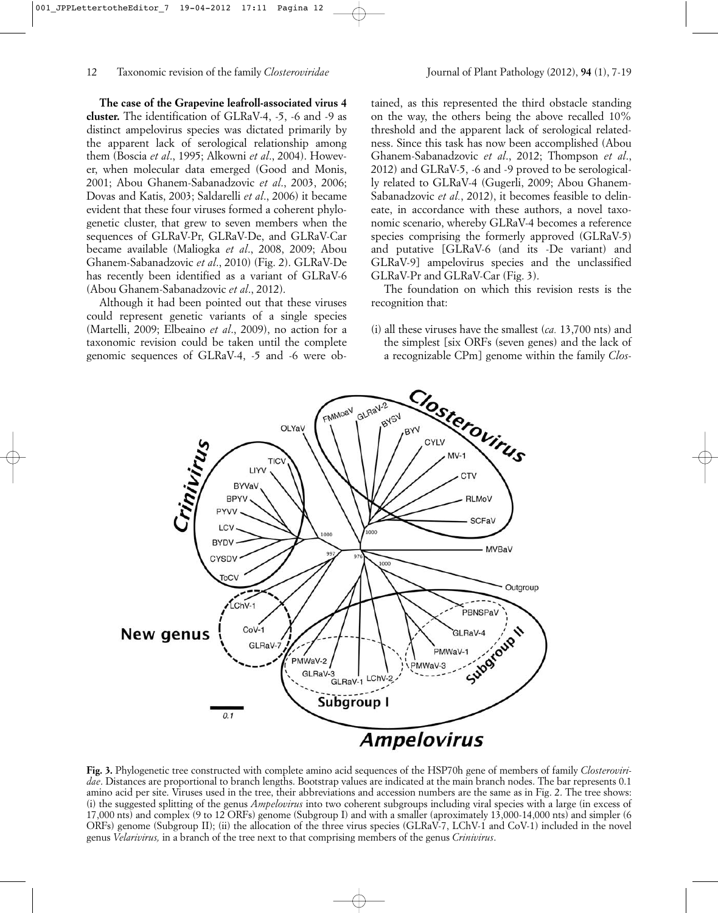**The case of the Grapevine leafroll-associated virus 4 cluster.** The identification of GLRaV-4, -5, -6 and -9 as distinct ampelovirus species was dictated primarily by the apparent lack of serological relationship among them (Boscia *et al*., 1995; Alkowni *et al*., 2004). However, when molecular data emerged (Good and Monis, 2001; Abou Ghanem-Sabanadzovic *et al*., 2003, 2006; Dovas and Katis, 2003; Saldarelli *et al*., 2006) it became evident that these four viruses formed a coherent phylogenetic cluster, that grew to seven members when the sequences of GLRaV-Pr, GLRaV-De, and GLRaV-Car became available (Maliogka *et al*., 2008, 2009; Abou Ghanem-Sabanadzovic *et al*., 2010) (Fig. 2). GLRaV-De has recently been identified as a variant of GLRaV-6 (Abou Ghanem-Sabanadzovic *et al*., 2012).

Although it had been pointed out that these viruses could represent genetic variants of a single species (Martelli, 2009; Elbeaino *et al*., 2009), no action for a taxonomic revision could be taken until the complete genomic sequences of GLRaV-4, -5 and -6 were ob-

tained, as this represented the third obstacle standing on the way, the others being the above recalled 10% threshold and the apparent lack of serological relatedness. Since this task has now been accomplished (Abou Ghanem-Sabanadzovic *et al*., 2012; Thompson *et al*., 2012) and GLRaV-5, -6 and -9 proved to be serologically related to GLRaV-4 (Gugerli, 2009; Abou Ghanem-Sabanadzovic *et al.*, 2012), it becomes feasible to delineate, in accordance with these authors, a novel taxonomic scenario, whereby GLRaV-4 becomes a reference species comprising the formerly approved (GLRaV-5) and putative [GLRaV-6 (and its -De variant) and GLRaV-9] ampelovirus species and the unclassified GLRaV-Pr and GLRaV-Car (Fig. 3).

The foundation on which this revision rests is the recognition that:

(i) all these viruses have the smallest (*ca.* 13,700 nts) and the simplest [six ORFs (seven genes) and the lack of a recognizable CPm] genome within the family *Clos-*



**Fig. 3.** Phylogenetic tree constructed with complete amino acid sequences of the HSP70h gene of members of family *Closteroviridae*. Distances are proportional to branch lengths. Bootstrap values are indicated at the main branch nodes. The bar represents 0.1 amino acid per site. Viruses used in the tree, their abbreviations and accession numbers are the same as in Fig. 2. The tree shows: (i) the suggested splitting of the genus *Ampelovirus* into two coherent subgroups including viral species with a large (in excess of 17,000 nts) and complex (9 to 12 ORFs) genome (Subgroup I) and with a smaller (aproximately 13,000-14,000 nts) and simpler (6 ORFs) genome (Subgroup II); (ii) the allocation of the three virus species (GLRaV-7, LChV-1 and CoV-1) included in the novel genus *Velarivirus,* in a branch of the tree next to that comprising members of the genus *Crinivirus*.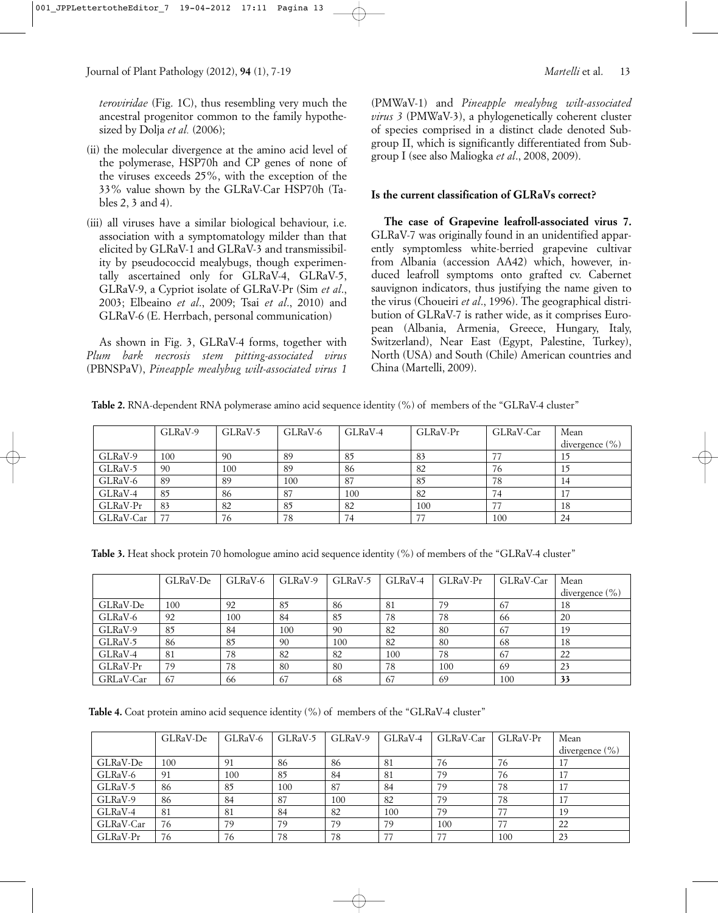*teroviridae* (Fig. 1C), thus resembling very much the ancestral progenitor common to the family hypothesized by Dolja *et al.* (2006);

- (ii) the molecular divergence at the amino acid level of the polymerase, HSP70h and CP genes of none of the viruses exceeds 25%, with the exception of the 33% value shown by the GLRaV-Car HSP70h (Tables 2, 3 and 4).
- (iii) all viruses have a similar biological behaviour, i.e. association with a symptomatology milder than that elicited by GLRaV-1 and GLRaV-3 and transmissibility by pseudococcid mealybugs, though experimentally ascertained only for GLRaV-4, GLRaV-5, GLRaV-9, a Cypriot isolate of GLRaV-Pr (Sim *et al*., 2003; Elbeaino *et al*., 2009; Tsai *et al*., 2010) and GLRaV-6 (E. Herrbach, personal communication)

As shown in Fig. 3, GLRaV-4 forms, together with *Plum bark necrosis stem pitting-associated virus* (PBNSPaV), *Pineapple mealybug wilt-associated virus 1*

# **Is the current classification of GLRaVs correct?**

**The case of Grapevine leafroll-associated virus 7.** GLRaV-7 was originally found in an unidentified apparently symptomless white-berried grapevine cultivar from Albania (accession AA42) which, however, induced leafroll symptoms onto grafted cv. Cabernet sauvignon indicators, thus justifying the name given to the virus (Choueiri *et al*., 1996). The geographical distribution of GLRaV-7 is rather wide, as it comprises European (Albania, Armenia, Greece, Hungary, Italy, Switzerland), Near East (Egypt, Palestine, Turkey), North (USA) and South (Chile) American countries and China (Martelli, 2009).

**Table 2.** RNA-dependent RNA polymerase amino acid sequence identity (%) of members of the "GLRaV-4 cluster"

|           | GLRaV-9 | GLRaV-5 | GLRaV-6 | GLRaV-4 | GLRaV-Pr | GLRaV-Car | Mean<br>divergence $(\% )$ |
|-----------|---------|---------|---------|---------|----------|-----------|----------------------------|
| GLRaV-9   | 100     | 90      | 89      | 85      | 83       |           | 15                         |
| GLRaV-5   | 90      | 100     | 89      | 86      | 82       | 76        | 15                         |
| GLRaV-6   | 89      | 89      | 100     | 87      | 85       | 78        | 14                         |
| GLRaV-4   | 85      | 86      | 87      | 100     | 82       | 74        | 17                         |
| GLRaV-Pr  | 83      | 82      | 85      | 82      | 100      |           | 18                         |
| GLRaV-Car | 77      | 76      | 78      | 74      |          | 100       | 24                         |

**Table 3.** Heat shock protein 70 homologue amino acid sequence identity (%) of members of the "GLRaV-4 cluster"

|           | GLRaV-De | GLRaV-6 | GLRaV-9 | GLRaV-5 | GLRaV-4 | $GLRaV-Pr$ | GLRaV-Car | Mean               |
|-----------|----------|---------|---------|---------|---------|------------|-----------|--------------------|
|           |          |         |         |         |         |            |           | divergence $(\% )$ |
| GLRaV-De  | 100      | 92      | 85      | 86      | 81      | 79         | 67        | 18                 |
| GLRaV-6   | 92       | 100     | 84      | 85      | 78      | 78         | 66        | 20                 |
| GLRaV-9   | 85       | 84      | 100     | 90      | 82      | 80         | 67        | 19                 |
| GLRaV-5   | 86       | 85      | 90      | 100     | 82      | 80         | 68        | 18                 |
| GLRaV-4   | 81       | 78      | 82      | 82      | 100     | 78         | 67        | 22                 |
| GLRaV-Pr  | 79       | 78      | 80      | 80      | 78      | 100        | -69       | 23                 |
| GRLaV-Car | 67       | 66      | 67      | 68      | 67      | 69         | 100       | 33                 |

Table 4. Coat protein amino acid sequence identity (%) of members of the "GLRaV-4 cluster"

|           | GLRaV-De | GLRaV-6 | GLRaV-5 | GLRaV-9 | GLRaV-4 | GLRaV-Car | GLRaV-Pr | Mean               |
|-----------|----------|---------|---------|---------|---------|-----------|----------|--------------------|
|           |          |         |         |         |         |           |          | divergence $(\% )$ |
| GLRaV-De  | 100      | 91      | 86      | 86      | 81      | 76        | 76       | 17                 |
| GLRaV-6   | 91       | 100     | 85      | 84      | 81      | 79        | 76       | 17                 |
| GLRaV-5   | 86       | 85      | 100     | 87      | 84      | 79        | 78       | 17                 |
| GLRaV-9   | 86       | 84      | 87      | 100     | 82      | 79        | 78       | 17                 |
| GLRaV-4   | 81       | 81      | 84      | 82      | 100     | 79        |          | 19                 |
| GLRaV-Car | 76       | 79      | 79      | 79      | 79      | 100       |          | 22                 |
| GLRaV-Pr  | 76       | 76      | 78      | 78      |         |           | 100      | 23                 |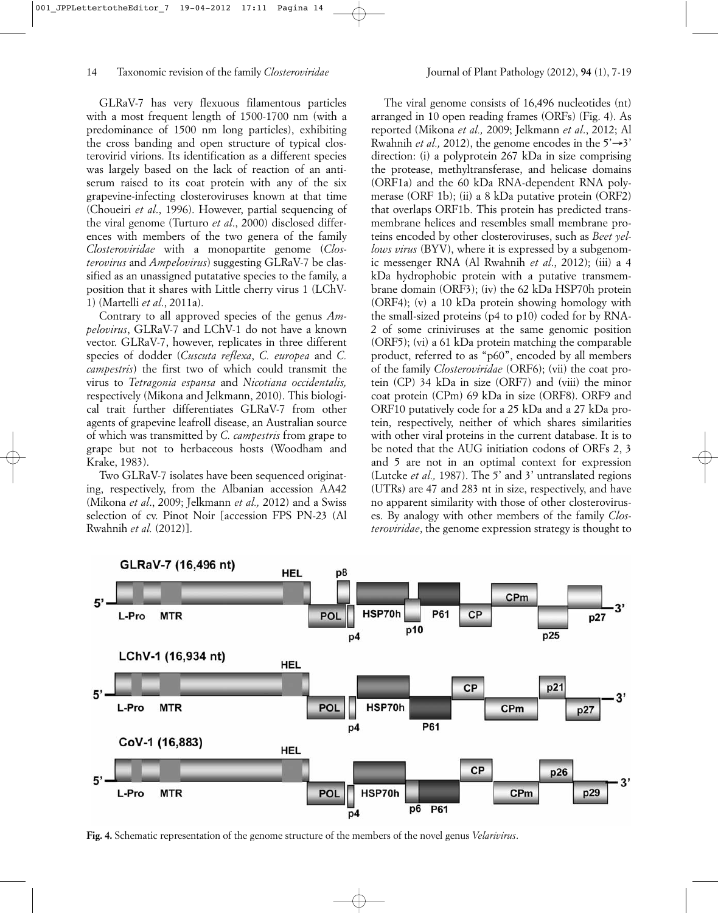GLRaV-7 has very flexuous filamentous particles with a most frequent length of 1500-1700 nm (with a predominance of 1500 nm long particles), exhibiting the cross banding and open structure of typical closterovirid virions. Its identification as a different species was largely based on the lack of reaction of an antiserum raised to its coat protein with any of the six grapevine-infecting closteroviruses known at that time (Choueiri *et al*., 1996). However, partial sequencing of the viral genome (Turturo *et al*., 2000) disclosed differences with members of the two genera of the family *Closteroviridae* with a monopartite genome (*Closterovirus* and *Ampelovirus*) suggesting GLRaV-7 be classified as an unassigned putatative species to the family, a position that it shares with Little cherry virus 1 (LChV-1) (Martelli *et al*., 2011a).

Contrary to all approved species of the genus *Ampelovirus*, GLRaV-7 and LChV-1 do not have a known vector. GLRaV-7, however, replicates in three different species of dodder (*Cuscuta reflexa*, *C. europea* and *C. campestris*) the first two of which could transmit the virus to *Tetragonia espansa* and *Nicotiana occidentalis,* respectively (Mikona and Jelkmann, 2010). This biological trait further differentiates GLRaV-7 from other agents of grapevine leafroll disease, an Australian source of which was transmitted by *C. campestris* from grape to grape but not to herbaceous hosts (Woodham and Krake, 1983).

Two GLRaV-7 isolates have been sequenced originating, respectively, from the Albanian accession AA42 (Mikona *et al*., 2009; Jelkmann *et al.,* 2012) and a Swiss selection of cv. Pinot Noir [accession FPS PN-23 (Al Rwahnih *et al.* (2012)].

The viral genome consists of 16,496 nucleotides (nt) arranged in 10 open reading frames (ORFs) (Fig. 4). As reported (Mikona *et al.,* 2009; Jelkmann *et al*., 2012; Al Rwahnih *et al.*, 2012), the genome encodes in the  $5' \rightarrow 3'$ direction: (i) a polyprotein 267 kDa in size comprising the protease, methyltransferase, and helicase domains (ORF1a) and the 60 kDa RNA-dependent RNA polymerase (ORF 1b); (ii) a 8 kDa putative protein (ORF2) that overlaps ORF1b. This protein has predicted transmembrane helices and resembles small membrane proteins encoded by other closteroviruses, such as *Beet yellows virus* (BYV), where it is expressed by a subgenomic messenger RNA (Al Rwahnih *et al*., 2012); (iii) a 4 kDa hydrophobic protein with a putative transmembrane domain (ORF3); (iv) the 62 kDa HSP70h protein (ORF4); (v) a 10 kDa protein showing homology with the small-sized proteins (p4 to p10) coded for by RNA-2 of some criniviruses at the same genomic position (ORF5); (vi) a 61 kDa protein matching the comparable product, referred to as "p60", encoded by all members of the family *Closteroviridae* (ORF6); (vii) the coat protein (CP) 34 kDa in size (ORF7) and (viii) the minor coat protein (CPm) 69 kDa in size (ORF8). ORF9 and ORF10 putatively code for a 25 kDa and a 27 kDa protein, respectively, neither of which shares similarities with other viral proteins in the current database. It is to be noted that the AUG initiation codons of ORFs 2, 3 and 5 are not in an optimal context for expression (Lutcke *et al.,* 1987). The 5' and 3' untranslated regions (UTRs) are 47 and 283 nt in size, respectively, and have no apparent similarity with those of other closteroviruses. By analogy with other members of the family *Closteroviridae*, the genome expression strategy is thought to



**Fig. 4.** Schematic representation of the genome structure of the members of the novel genus *Velarivirus*.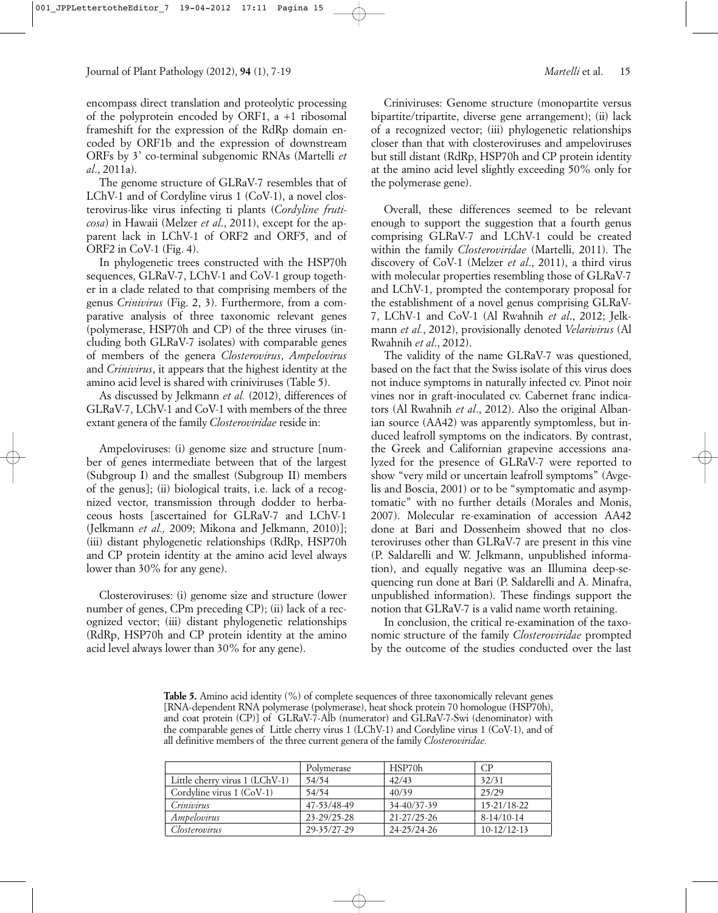encompass direct translation and proteolytic processing of the polyprotein encoded by ORF1, a +1 ribosomal frameshift for the expression of the RdRp domain encoded by ORF1b and the expression of downstream ORFs by 3' co-terminal subgenomic RNAs (Martelli *et al*., 2011a).

The genome structure of GLRaV-7 resembles that of LChV-1 and of Cordyline virus 1 (CoV-1), a novel closterovirus-like virus infecting ti plants (*Cordyline fruticosa*) in Hawaii (Melzer *et al*., 2011), except for the apparent lack in LChV-1 of ORF2 and ORF5, and of ORF2 in CoV-1 (Fig. 4).

In phylogenetic trees constructed with the HSP70h sequences, GLRaV-7, LChV-1 and CoV-1 group together in a clade related to that comprising members of the genus *Crinivirus* (Fig. 2, 3). Furthermore, from a comparative analysis of three taxonomic relevant genes (polymerase, HSP70h and CP) of the three viruses (including both GLRaV-7 isolates) with comparable genes of members of the genera *Closterovirus*, *Ampelovirus* and *Crinivirus*, it appears that the highest identity at the amino acid level is shared with criniviruses (Table 5).

As discussed by Jelkmann *et al.* (2012), differences of GLRaV-7, LChV-1 and CoV-1 with members of the three extant genera of the family *Closteroviridae* reside in:

Ampeloviruses: (i) genome size and structure [number of genes intermediate between that of the largest (Subgroup I) and the smallest (Subgroup II) members of the genus]; (ii) biological traits, i.e. lack of a recognized vector, transmission through dodder to herbaceous hosts [ascertained for GLRaV-7 and LChV-1 (Jelkmann *et al.,* 2009; Mikona and Jelkmann, 2010)]; (iii) distant phylogenetic relationships (RdRp, HSP70h and CP protein identity at the amino acid level always lower than 30% for any gene).

Closteroviruses: (i) genome size and structure (lower number of genes, CPm preceding CP); (ii) lack of a recognized vector; (iii) distant phylogenetic relationships (RdRp, HSP70h and CP protein identity at the amino acid level always lower than 30% for any gene).

Criniviruses: Genome structure (monopartite versus bipartite/tripartite, diverse gene arrangement); (ii) lack of a recognized vector; (iii) phylogenetic relationships closer than that with closteroviruses and ampeloviruses but still distant (RdRp, HSP70h and CP protein identity at the amino acid level slightly exceeding 50% only for the polymerase gene).

Overall, these differences seemed to be relevant enough to support the suggestion that a fourth genus comprising GLRaV-7 and LChV-1 could be created within the family *Closteroviridae* (Martelli, 2011). The discovery of CoV-1 (Melzer *et al*., 2011), a third virus with molecular properties resembling those of GLRaV-7 and LChV-1, prompted the contemporary proposal for the establishment of a novel genus comprising GLRaV-7, LChV-1 and CoV-1 (Al Rwahnih *et al*., 2012; Jelkmann *et al.*, 2012), provisionally denoted *Velarivirus* (Al Rwahnih *et al*., 2012).

The validity of the name GLRaV-7 was questioned, based on the fact that the Swiss isolate of this virus does not induce symptoms in naturally infected cv. Pinot noir vines nor in graft-inoculated cv. Cabernet franc indicators (Al Rwahnih *et al*., 2012). Also the original Albanian source (AA42) was apparently symptomless, but induced leafroll symptoms on the indicators. By contrast, the Greek and Californian grapevine accessions analyzed for the presence of GLRaV-7 were reported to show "very mild or uncertain leafroll symptoms" (Avgelis and Boscia, 2001) or to be "symptomatic and asymptomatic" with no further details (Morales and Monis, 2007). Molecular re-examination of accession AA42 done at Bari and Dossenheim showed that no closteroviruses other than GLRaV-7 are present in this vine (P. Saldarelli and W. Jelkmann, unpublished information), and equally negative was an Illumina deep-sequencing run done at Bari (P. Saldarelli and A. Minafra, unpublished information). These findings support the notion that GLRaV-7 is a valid name worth retaining.

In conclusion, the critical re-examination of the taxonomic structure of the family *Closteroviridae* prompted by the outcome of the studies conducted over the last

**Table 5.** Amino acid identity (%) of complete sequences of three taxonomically relevant genes [RNA-dependent RNA polymerase (polymerase), heat shock protein 70 homologue (HSP70h), and coat protein (CP)] of GLRaV-7-Alb (numerator) and GLRaV-7-Swi (denominator) with the comparable genes of Little cherry virus 1 (LChV-1) and Cordyline virus 1 (CoV-1), and of all definitive members of the three current genera of the family *Closteroviridae.*

|                                | Polymerase  | HSP70h            | CP.               |
|--------------------------------|-------------|-------------------|-------------------|
| Little cherry virus 1 (LChV-1) | 54/54       | 42/43             | 32/31             |
| Cordyline virus $1$ (CoV-1)    | 54/54       | 40/39             | 25/29             |
| Crinivirus                     | 47-53/48-49 | 34-40/37-39       | $15 - 21/18 - 22$ |
| Ampelovirus                    | 23-29/25-28 | $21 - 27/25 - 26$ | $8-14/10-14$      |
| Closterovirus                  | 29-35/27-29 | $24 - 25/24 - 26$ | $10-12/12-13$     |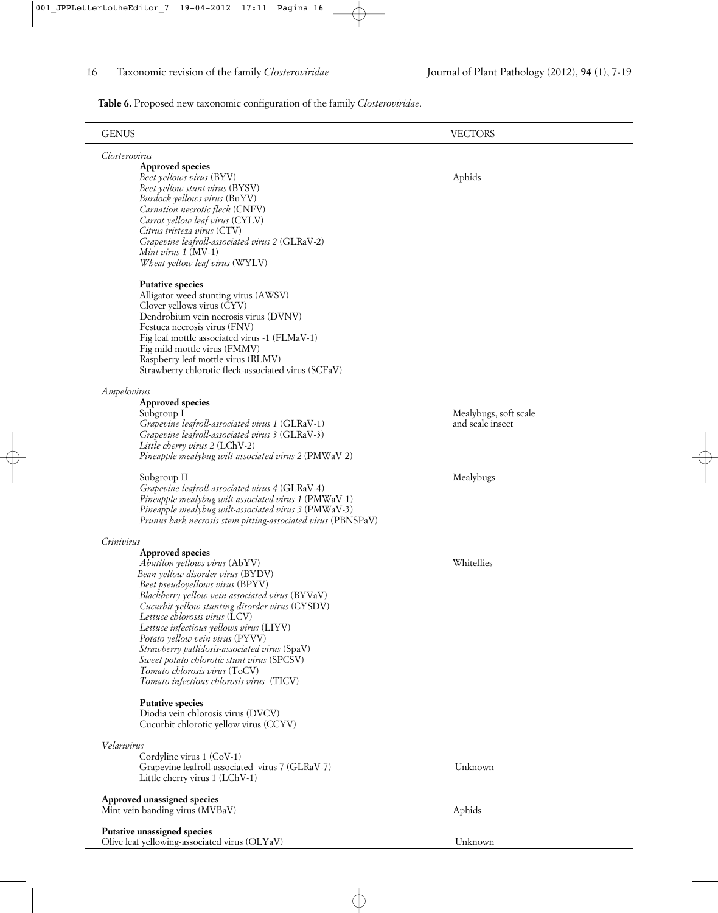**Table 6.** Proposed new taxonomic configuration of the family *Closteroviridae*.

| <b>GENUS</b>                                                                                            | <b>VECTORS</b>        |  |
|---------------------------------------------------------------------------------------------------------|-----------------------|--|
| Closterovirus                                                                                           |                       |  |
| <b>Approved species</b><br>Beet yellows virus (BYV)                                                     | Aphids                |  |
| Beet yellow stunt virus (BYSV)<br>Burdock yellows virus (BuYV)                                          |                       |  |
| Carnation necrotic fleck (CNFV)                                                                         |                       |  |
| Carrot yellow leaf virus (CYLV)<br>Citrus tristeza virus (CTV)                                          |                       |  |
| Grapevine leafroll-associated virus 2 (GLRaV-2)                                                         |                       |  |
| Mint virus 1 (MV-1)<br>Wheat yellow leaf virus (WYLV)                                                   |                       |  |
| <b>Putative species</b>                                                                                 |                       |  |
| Alligator weed stunting virus (AWSV)<br>Clover yellows virus (CYV)                                      |                       |  |
| Dendrobium vein necrosis virus (DVNV)                                                                   |                       |  |
| Festuca necrosis virus (FNV)<br>Fig leaf mottle associated virus -1 (FLMaV-1)                           |                       |  |
| Fig mild mottle virus (FMMV)                                                                            |                       |  |
| Raspberry leaf mottle virus (RLMV)<br>Strawberry chlorotic fleck-associated virus (SCFaV)               |                       |  |
| Ampelovirus                                                                                             |                       |  |
| <b>Approved species</b><br>Subgroup I                                                                   | Mealybugs, soft scale |  |
| Grapevine leafroll-associated virus 1 (GLRaV-1)                                                         | and scale insect      |  |
| Grapevine leafroll-associated virus 3 (GLRaV-3)<br>Little cherry virus 2 (LChV-2)                       |                       |  |
| Pineapple mealybug wilt-associated virus 2 (PMWaV-2)                                                    |                       |  |
| Subgroup II                                                                                             | Mealybugs             |  |
| Grapevine leafroll-associated virus 4 (GLRaV-4)<br>Pineapple mealybug wilt-associated virus 1 (PMWaV-1) |                       |  |
| Pineapple mealybug wilt-associated virus 3 (PMWaV-3)                                                    |                       |  |
| Prunus bark necrosis stem pitting-associated virus (PBNSPaV)                                            |                       |  |
| Crinivirus<br><b>Approved species</b>                                                                   |                       |  |
| Abutilon yellows virus (AbYV)                                                                           | Whiteflies            |  |
| Bean yellow disorder virus (BYDV)                                                                       |                       |  |
| Beet pseudoyellows virus (BPYV)<br>Blackberry yellow vein-associated virus (BYVaV)                      |                       |  |
| Cucurbit yellow stunting disorder virus (CYSDV)                                                         |                       |  |
| Lettuce chlorosis virus (LCV)<br>Lettuce infectious yellows virus (LIYV)                                |                       |  |
| Potato yellow vein virus (PYVV)                                                                         |                       |  |
| Strawberry pallidosis-associated virus (SpaV)                                                           |                       |  |
| Sweet potato chlorotic stunt virus (SPCSV)<br>Tomato chlorosis virus (ToCV)                             |                       |  |
| Tomato infectious chlorosis virus (TICV)                                                                |                       |  |
| <b>Putative species</b><br>Diodia vein chlorosis virus (DVCV)                                           |                       |  |
| Cucurbit chlorotic yellow virus (CCYV)                                                                  |                       |  |
| Velarivirus                                                                                             |                       |  |
| Cordyline virus 1 (CoV-1)<br>Grapevine leafroll-associated virus 7 (GLRaV-7)                            | Unknown               |  |
| Little cherry virus 1 (LChV-1)                                                                          |                       |  |
| Approved unassigned species<br>Mint vein banding virus (MVBaV)                                          | Aphids                |  |
|                                                                                                         |                       |  |
| Putative unassigned species<br>Olive leaf yellowing-associated virus (OLYaV)                            | Unknown               |  |
|                                                                                                         |                       |  |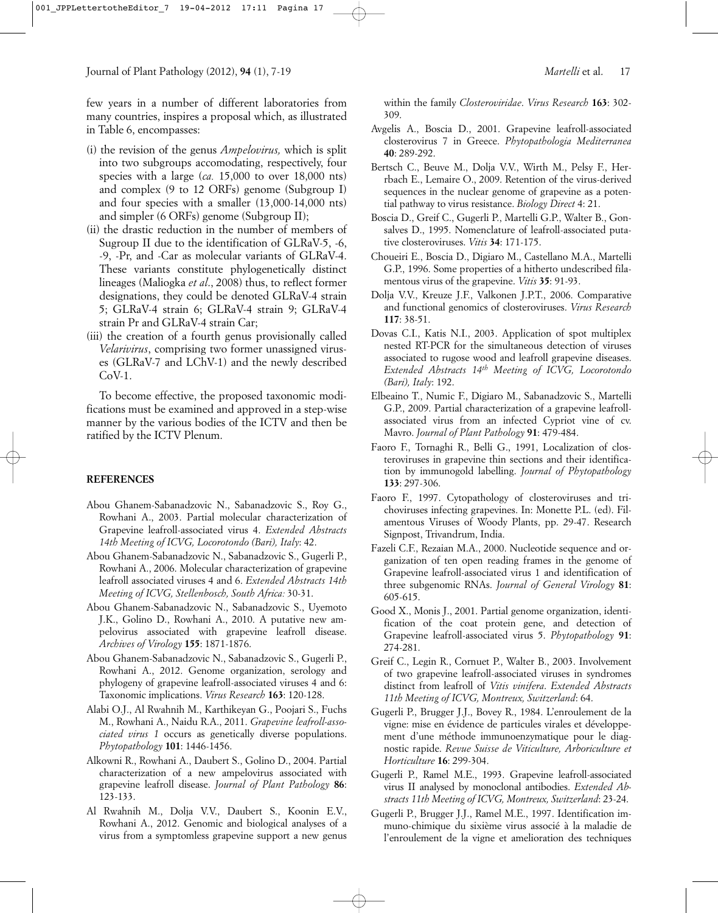few years in a number of different laboratories from many countries, inspires a proposal which, as illustrated in Table 6, encompasses:

- (i) the revision of the genus *Ampelovirus,* which is split into two subgroups accomodating, respectively, four species with a large (*ca.* 15,000 to over 18,000 nts) and complex (9 to 12 ORFs) genome (Subgroup I) and four species with a smaller (13,000-14,000 nts) and simpler (6 ORFs) genome (Subgroup II);
- (ii) the drastic reduction in the number of members of Sugroup II due to the identification of GLRaV-5, -6, -9, -Pr, and -Car as molecular variants of GLRaV-4. These variants constitute phylogenetically distinct lineages (Maliogka *et al*., 2008) thus, to reflect former designations, they could be denoted GLRaV-4 strain 5; GLRaV-4 strain 6; GLRaV-4 strain 9; GLRaV-4 strain Pr and GLRaV-4 strain Car;
- (iii) the creation of a fourth genus provisionally called *Velarivirus*, comprising two former unassigned viruses (GLRaV-7 and LChV-1) and the newly described  $CoV-1$ .

To become effective, the proposed taxonomic modifications must be examined and approved in a step-wise manner by the various bodies of the ICTV and then be ratified by the ICTV Plenum.

## **REFERENCES**

- Abou Ghanem-Sabanadzovic N., Sabanadzovic S., Roy G., Rowhani A., 2003. Partial molecular characterization of Grapevine leafroll-associated virus 4. *Extended Abstracts 14th Meeting of ICVG, Locorotondo (Bari), Italy*: 42.
- Abou Ghanem-Sabanadzovic N., Sabanadzovic S., Gugerli P., Rowhani A., 2006. Molecular characterization of grapevine leafroll associated viruses 4 and 6. *Extended Abstracts 14th Meeting of ICVG, Stellenbosch, South Africa:* 30-31.
- Abou Ghanem-Sabanadzovic N., Sabanadzovic S., Uyemoto J.K., Golino D., Rowhani A., 2010. A putative new ampelovirus associated with grapevine leafroll disease. *Archives of Virology* **155**: 1871-1876.
- Abou Ghanem-Sabanadzovic N., Sabanadzovic S., Gugerli P., Rowhani A., 2012. Genome organization, serology and phylogeny of grapevine leafroll-associated viruses 4 and 6: Taxonomic implications. *Virus Research* **163**: 120-128.
- Alabi O.J., Al Rwahnih M., Karthikeyan G., Poojari S., Fuchs M., Rowhani A., Naidu R.A., 2011. *Grapevine leafroll-associated virus 1* occurs as genetically diverse populations. *Phytopathology* **101**: 1446-1456.
- Alkowni R., Rowhani A., Daubert S., Golino D., 2004. Partial characterization of a new ampelovirus associated with grapevine leafroll disease. *Journal of Plant Pathology* **86**: 123-133.
- Al Rwahnih M., Dolja V.V., Daubert S., Koonin E.V., Rowhani A., 2012. Genomic and biological analyses of a virus from a symptomless grapevine support a new genus

within the family *Closteroviridae*. *Virus Research* **163**: 302- 309.

- Avgelis A., Boscia D., 2001. Grapevine leafroll-associated closterovirus 7 in Greece. *Phytopathologia Mediterranea* **40**: 289-292.
- Bertsch C., Beuve M., Dolja V.V., Wirth M., Pelsy F., Herrbach E., Lemaire O., 2009. Retention of the virus-derived sequences in the nuclear genome of grapevine as a potential pathway to virus resistance. *Biology Direct* 4: 21.
- Boscia D., Greif C., Gugerli P., Martelli G.P., Walter B., Gonsalves D., 1995. Nomenclature of leafroll-associated putative closteroviruses. *Vitis* **34**: 171-175.
- Choueiri E., Boscia D., Digiaro M., Castellano M.A., Martelli G.P., 1996. Some properties of a hitherto undescribed filamentous virus of the grapevine. *Vitis* **35**: 91-93.
- Dolja V.V., Kreuze J.F., Valkonen J.P.T., 2006. Comparative and functional genomics of closteroviruses. *Virus Research* **117**: 38-51.
- Dovas C.I., Katis N.I., 2003. Application of spot multiplex nested RT-PCR for the simultaneous detection of viruses associated to rugose wood and leafroll grapevine diseases. *Extended Abstracts 14th Meeting of ICVG, Locorotondo (Bari), Italy*: 192.
- Elbeaino T., Numic F., Digiaro M., Sabanadzovic S., Martelli G.P., 2009. Partial characterization of a grapevine leafrollassociated virus from an infected Cypriot vine of cv. Mavro. *Journal of Plant Pathology* **91**: 479-484.
- Faoro F., Tornaghi R., Belli G., 1991, Localization of closteroviruses in grapevine thin sections and their identification by immunogold labelling. *Journal of Phytopathology* **133**: 297-306.
- Faoro F., 1997. Cytopathology of closteroviruses and trichoviruses infecting grapevines. In: Monette P.L. (ed). Filamentous Viruses of Woody Plants, pp. 29-47. Research Signpost, Trivandrum, India.
- Fazeli C.F., Rezaian M.A., 2000. Nucleotide sequence and organization of ten open reading frames in the genome of Grapevine leafroll-associated virus 1 and identification of three subgenomic RNAs. *Journal of General Virology* **81**: 605-615.
- Good X., Monis J., 2001. Partial genome organization, identification of the coat protein gene, and detection of Grapevine leafroll-associated virus 5. *Phytopathology* **91**: 274-281.
- Greif C., Legin R., Cornuet P., Walter B., 2003. Involvement of two grapevine leafroll-associated viruses in syndromes distinct from leafroll of *Vitis vinifera*. *Extended Abstracts 11th Meeting of ICVG, Montreux, Switzerland*: 64.
- Gugerli P., Brugger J.J., Bovey R., 1984. L'enroulement de la vigne: mise en évidence de particules virales et développement d'une méthode immunoenzymatique pour le diagnostic rapide. *Revue Suisse de Viticulture, Arboriculture et Horticulture* **16**: 299-304.
- Gugerli P., Ramel M.E., 1993. Grapevine leafroll-associated virus II analysed by monoclonal antibodies. *Extended Abstracts 11th Meeting of ICVG, Montreux, Switzerland*: 23-24.
- Gugerli P., Brugger J.J., Ramel M.E., 1997. Identification immuno-chimique du sixième virus associé à la maladie de l'enroulement de la vigne et amelioration des techniques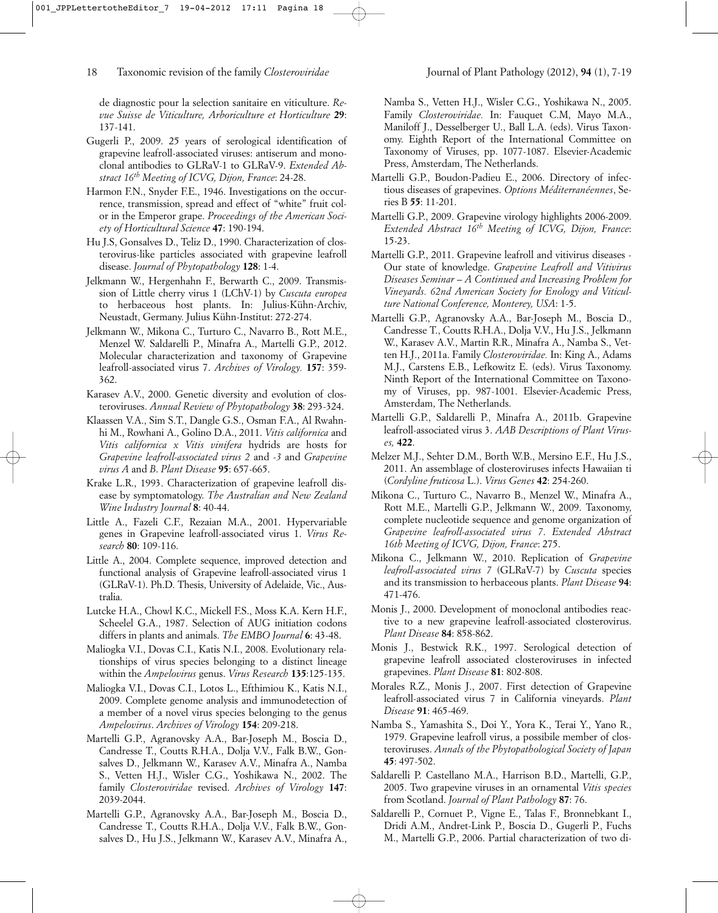de diagnostic pour la selection sanitaire en viticulture. *Revue Suisse de Viticulture, Arboriculture et Horticulture* **29**: 137-141.

- Gugerli P., 2009. 25 years of serological identification of grapevine leafroll-associated viruses: antiserum and monoclonal antibodies to GLRaV-1 to GLRaV-9. *Extended Abstract 16th Meeting of ICVG, Dijon, France*: 24-28.
- Harmon F.N., Snyder F.E., 1946. Investigations on the occurrence, transmission, spread and effect of "white" fruit color in the Emperor grape. *Proceedings of the American Society of Horticultural Science* **47**: 190-194.
- Hu J.S, Gonsalves D., Teliz D., 1990. Characterization of closterovirus-like particles associated with grapevine leafroll disease. *Journal of Phytopathology* **128**: 1-4.
- Jelkmann W., Hergenhahn F., Berwarth C., 2009. Transmission of Little cherry virus 1 (LChV-1) by *Cuscuta europea* to herbaceous host plants. In: Julius-Kühn-Archiv, Neustadt, Germany. Julius Kühn-Institut: 272-274.
- Jelkmann W., Mikona C., Turturo C., Navarro B., Rott M.E., Menzel W. Saldarelli P., Minafra A., Martelli G.P., 2012. Molecular characterization and taxonomy of Grapevine leafroll-associated virus 7. *Archives of Virology.* **157**: 359- 362.
- Karasev A.V., 2000. Genetic diversity and evolution of closteroviruses. *Annual Review of Phytopathology* **38**: 293-324.
- Klaassen V.A., Sim S.T., Dangle G.S., Osman F.A., Al Rwahnhi M., Rowhani A., Golino D.A., 2011. *Vitis californica* and *Vitis californica x Vitis vinifera* hydrids are hosts for *Grapevine leafroll-associated virus 2* and -*3* and *Grapevine virus A* and *B*. *Plant Disease* **95**: 657-665.
- Krake L.R., 1993. Characterization of grapevine leafroll disease by symptomatology. *The Australian and New Zealand Wine Industry Journal* **8**: 40-44.
- Little A., Fazeli C.F., Rezaian M.A., 2001. Hypervariable genes in Grapevine leafroll-associated virus 1. *Virus Research* **80**: 109-116.
- Little A., 2004. Complete sequence, improved detection and functional analysis of Grapevine leafroll-associated virus 1 (GLRaV-1). Ph.D. Thesis, University of Adelaide, Vic., Australia.
- Lutcke H.A., Chowl K.C., Mickell F.S., Moss K.A. Kern H.F., Scheelel G.A., 1987. Selection of AUG initiation codons differs in plants and animals. *The EMBO Journal* **6**: 43-48.
- Maliogka V.I., Dovas C.I., Katis N.I., 2008. Evolutionary relationships of virus species belonging to a distinct lineage within the *Ampelovirus* genus. *Virus Research* **135**:125-135.
- Maliogka V.I., Dovas C.I., Lotos L., Efthimiou K., Katis N.I., 2009. Complete genome analysis and immunodetection of a member of a novel virus species belonging to the genus *Ampelovirus*. *Archives of Virology* **154**: 209-218.
- Martelli G.P., Agranovsky A.A., Bar-Joseph M., Boscia D., Candresse T., Coutts R.H.A., Dolja V.V., Falk B.W., Gonsalves D., Jelkmann W., Karasev A.V., Minafra A., Namba S., Vetten H.J., Wisler C.G., Yoshikawa N., 2002. The family *Closteroviridae* revised. *Archives of Virology* **147**: 2039-2044.
- Martelli G.P., Agranovsky A.A., Bar-Joseph M., Boscia D., Candresse T., Coutts R.H.A., Dolja V.V., Falk B.W., Gonsalves D., Hu J.S., Jelkmann W., Karasev A.V., Minafra A.,

Namba S., Vetten H.J., Wisler C.G., Yoshikawa N., 2005. Family *Closteroviridae.* In: Fauquet C.M, Mayo M.A., Maniloff J., Desselberger U., Ball L.A. (eds). Virus Taxonomy. Eighth Report of the International Committee on Taxonomy of Viruses, pp. 1077-1087. Elsevier-Academic Press, Amsterdam, The Netherlands.

- Martelli G.P., Boudon-Padieu E., 2006. Directory of infectious diseases of grapevines. *Options Méditerranéennes*, Series B **55**: 11-201.
- Martelli G.P., 2009. Grapevine virology highlights 2006-2009. *Extended Abstract 16th Meeting of ICVG, Dijon, France*: 15-23.
- Martelli G.P., 2011. Grapevine leafroll and vitivirus diseases Our state of knowledge. *Grapevine Leafroll and Vitivirus Diseases Seminar – A Continued and Increasing Problem for Vineyards. 62nd American Society for Enology and Viticulture National Conference, Monterey, USA*: 1-5.
- Martelli G.P., Agranovsky A.A., Bar-Joseph M., Boscia D., Candresse T., Coutts R.H.A., Dolja V.V., Hu J.S., Jelkmann W., Karasev A.V., Martin R.R., Minafra A., Namba S., Vetten H.J., 2011a. Family *Closteroviridae.* In: King A., Adams M.J., Carstens E.B., Lefkowitz E. (eds). Virus Taxonomy. Ninth Report of the International Committee on Taxonomy of Viruses, pp. 987-1001. Elsevier-Academic Press, Amsterdam, The Netherlands.
- Martelli G.P., Saldarelli P., Minafra A., 2011b. Grapevine leafroll-associated virus 3. *AAB Descriptions of Plant Viruses,* **422**.
- Melzer M.J., Sehter D.M., Borth W.B., Mersino E.F., Hu J.S., 2011. An assemblage of closteroviruses infects Hawaiian ti (*Cordyline fruticosa* L.). *Virus Genes* **42**: 254-260.
- Mikona C., Turturo C., Navarro B., Menzel W., Minafra A., Rott M.E., Martelli G.P., Jelkmann W., 2009. Taxonomy, complete nucleotide sequence and genome organization of *Grapevine leafroll-associated virus 7*. *Extended Abstract 16th Meeting of ICVG, Dijon, France*: 275.
- Mikona C., Jelkmann W., 2010. Replication of *Grapevine leafroll-associated virus 7* (GLRaV-7) by *Cuscuta* species and its transmission to herbaceous plants. *Plant Disease* **94**: 471-476.
- Monis J., 2000. Development of monoclonal antibodies reactive to a new grapevine leafroll-associated closterovirus. *Plant Disease* **84**: 858-862.
- Monis J., Bestwick R.K., 1997. Serological detection of grapevine leafroll associated closteroviruses in infected grapevines. *Plant Disease* **81**: 802-808.
- Morales R.Z., Monis J., 2007. First detection of Grapevine leafroll-associated virus 7 in California vineyards. *Plant Disease* **91**: 465-469.
- Namba S., Yamashita S., Doi Y., Yora K., Terai Y., Yano R., 1979. Grapevine leafroll virus, a possibile member of closteroviruses. *Annals of the Phytopathological Society of Japan* **45**: 497-502.
- Saldarelli P. Castellano M.A., Harrison B.D., Martelli, G.P., 2005. Two grapevine viruses in an ornamental *Vitis species* from Scotland. *Journal of Plant Pathology* **87**: 76.
- Saldarelli P., Cornuet P., Vigne E., Talas F., Bronnebkant I., Dridi A.M., Andret-Link P., Boscia D., Gugerli P., Fuchs M., Martelli G.P., 2006. Partial characterization of two di-